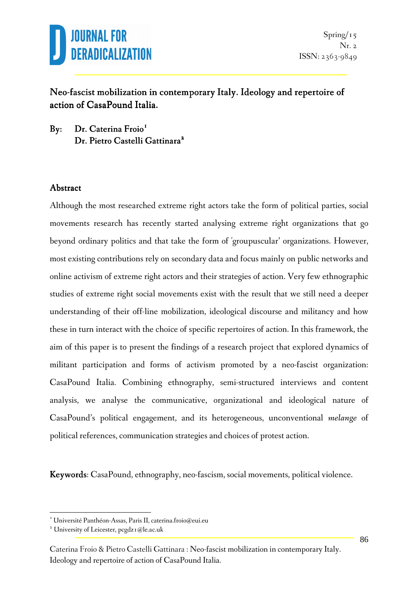

### Neo-fascist mobilization in contemporary Italy. Ideology and repertoire of action of CasaPound Italia.

By: Dr. Caterina Froio<sup>1</sup> Dr. Pietro Castelli Gattinara<sup>2</sup>

#### Abstract

Although the most researched extreme right actors take the form of political parties, social movements research has recently started analysing extreme right organizations that go beyond ordinary politics and that take the form of 'groupuscular' organizations. However, most existing contributions rely on secondary data and focus mainly on public networks and online activism of extreme right actors and their strategies of action. Very few ethnographic studies of extreme right social movements exist with the result that we still need a deeper understanding of their off-line mobilization, ideological discourse and militancy and how these in turn interact with the choice of specific repertoires of action. In this framework, the aim of this paper is to present the findings of a research project that explored dynamics of militant participation and forms of activism promoted by a neo-fascist organization: CasaPound Italia. Combining ethnography, semi-structured interviews and content analysis, we analyse the communicative, organizational and ideological nature of CasaPound's political engagement, and its heterogeneous, unconventional *melange* of political references, communication strategies and choices of protest action.

Keywords: CasaPound, ethnography, neo-fascism, social movements, political violence.

 $\overline{a}$ 

<sup>1</sup> Université Panthéon-Assas, Paris II, caterina.froio@eui.eu

<sup>&</sup>lt;sup>2</sup> University of Leicester, pcgdz1@le.ac.uk

Caterina Froio & Pietro Castelli Gattinara : Neo-fascist mobilization in contemporary Italy. Ideology and repertoire of action of CasaPound Italia.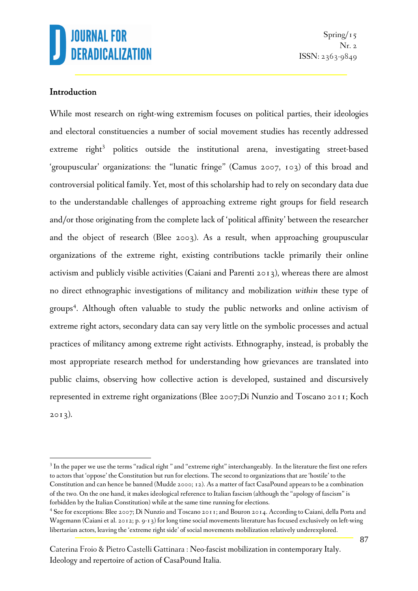#### Introduction

 $\overline{a}$ 

While most research on right-wing extremism focuses on political parties, their ideologies and electoral constituencies a number of social movement studies has recently addressed extreme right<sup>3</sup> politics outside the institutional arena, investigating street-based 'groupuscular' organizations: the "lunatic fringe" (Camus 2007, 103) of this broad and controversial political family. Yet, most of this scholarship had to rely on secondary data due to the understandable challenges of approaching extreme right groups for field research and/or those originating from the complete lack of 'political affinity' between the researcher and the object of research (Blee 2003). As a result, when approaching groupuscular organizations of the extreme right, existing contributions tackle primarily their online activism and publicly visible activities (Caiani and Parenti 2013), whereas there are almost no direct ethnographic investigations of militancy and mobilization *within* these type of groups 4 . Although often valuable to study the public networks and online activism of extreme right actors, secondary data can say very little on the symbolic processes and actual practices of militancy among extreme right activists. Ethnography, instead, is probably the most appropriate research method for understanding how grievances are translated into public claims, observing how collective action is developed, sustained and discursively represented in extreme right organizations (Blee 2007;Di Nunzio and Toscano 2011; Koch  $2013$ ).

<sup>&</sup>lt;sup>3</sup> In the paper we use the terms "radical right " and "extreme right" interchangeably. In the literature the first one refers to actors that 'oppose' the Constitution but run for elections. The second to organizations that are 'hostile' to the Constitution and can hence be banned (Mudde 2000; 12). As a matter of fact CasaPound appears to be a combination of the two. On the one hand, it makes ideological reference to Italian fascism (although the "apology of fascism" is forbidden by the Italian Constitution) while at the same time running for elections.

<sup>&</sup>lt;sup>4</sup> See for exceptions: Blee 2007; Di Nunzio and Toscano 2011; and Bouron 2014. According to Caiani, della Porta and Wagemann (Caiani et al. 2012; p. 9-13) for long time social movements literature has focused exclusively on left-wing libertarian actors, leaving the 'extreme right side' of social movements mobilization relatively underexplored.

Caterina Froio & Pietro Castelli Gattinara : Neo-fascist mobilization in contemporary Italy. Ideology and repertoire of action of CasaPound Italia.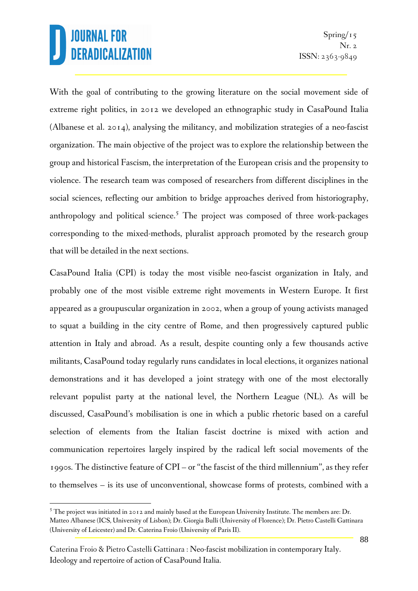With the goal of contributing to the growing literature on the social movement side of extreme right politics, in 2012 we developed an ethnographic study in CasaPound Italia (Albanese et al. 2014), analysing the militancy, and mobilization strategies of a neo-fascist organization. The main objective of the project was to explore the relationship between the group and historical Fascism, the interpretation of the European crisis and the propensity to violence. The research team was composed of researchers from different disciplines in the social sciences, reflecting our ambition to bridge approaches derived from historiography, anthropology and political science.<sup>5</sup> The project was composed of three work-packages corresponding to the mixed-methods, pluralist approach promoted by the research group that will be detailed in the next sections.

CasaPound Italia (CPI) is today the most visible neo-fascist organization in Italy, and probably one of the most visible extreme right movements in Western Europe. It first appeared as a groupuscular organization in 2002, when a group of young activists managed to squat a building in the city centre of Rome, and then progressively captured public attention in Italy and abroad. As a result, despite counting only a few thousands active militants, CasaPound today regularly runs candidates in local elections, it organizes national demonstrations and it has developed a joint strategy with one of the most electorally relevant populist party at the national level, the Northern League (NL). As will be discussed, CasaPound's mobilisation is one in which a public rhetoric based on a careful selection of elements from the Italian fascist doctrine is mixed with action and communication repertoires largely inspired by the radical left social movements of the 1990s. The distinctive feature of CPI – or "the fascist of the third millennium", as they refer to themselves – is its use of unconventional, showcase forms of protests, combined with a

 $\overline{a}$  $5$  The project was initiated in 2012 and mainly based at the European University Institute. The members are: Dr. Matteo Albanese (ICS, University of Lisbon); Dr. Giorgia Bulli (University of Florence); Dr. Pietro Castelli Gattinara (University of Leicester) and Dr. Caterina Froio (University of Paris II).

Caterina Froio & Pietro Castelli Gattinara : Neo-fascist mobilization in contemporary Italy. Ideology and repertoire of action of CasaPound Italia.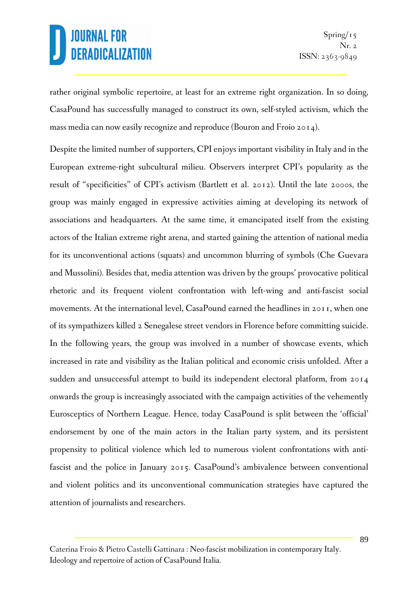rather original symbolic repertoire, at least for an extreme right organization. In so doing, CasaPound has successfully managed to construct its own, self-styled activism, which the mass media can now easily recognize and reproduce (Bouron and Froio 2014).

Despite the limited number of supporters, CPI enjoys important visibility in Italy and in the European extreme-right subcultural milieu. Observers interpret CPI's popularity as the result of "specificities" of CPI's activism (Bartlett et al. 2012). Until the late 2000s, the group was mainly engaged in expressive activities aiming at developing its network of associations and headquarters. At the same time, it emancipated itself from the existing actors of the Italian extreme right arena, and started gaining the attention of national media for its unconventional actions (squats) and uncommon blurring of symbols (Che Guevara and Mussolini). Besides that, media attention was driven by the groups' provocative political rhetoric and its frequent violent confrontation with left-wing and anti-fascist social movements. At the international level, CasaPound earned the headlines in 2011, when one of its sympathizers killed 2 Senegalese street vendors in Florence before committing suicide. In the following years, the group was involved in a number of showcase events, which increased in rate and visibility as the Italian political and economic crisis unfolded. After a sudden and unsuccessful attempt to build its independent electoral platform, from 2014 onwards the group is increasingly associated with the campaign activities of the vehemently Eurosceptics of Northern League. Hence, today CasaPound is split between the 'official' endorsement by one of the main actors in the Italian party system, and its persistent propensity to political violence which led to numerous violent confrontations with antifascist and the police in January 2015. CasaPound's ambivalence between conventional and violent politics and its unconventional communication strategies have captured the attention of journalists and researchers.

Caterina Froio & Pietro Castelli Gattinara : Neo-fascist mobilization in contemporary Italy. Ideology and repertoire of action of CasaPound Italia.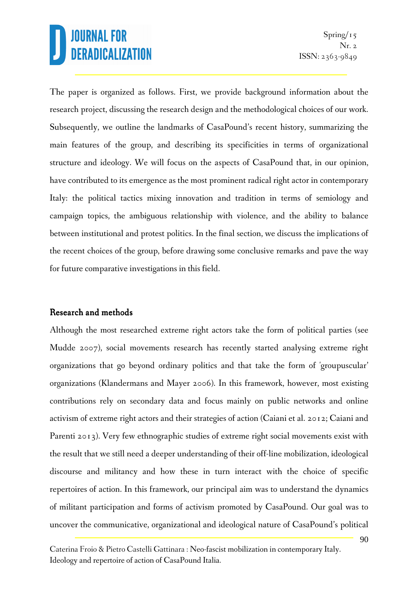The paper is organized as follows. First, we provide background information about the research project, discussing the research design and the methodological choices of our work. Subsequently, we outline the landmarks of CasaPound's recent history, summarizing the main features of the group, and describing its specificities in terms of organizational structure and ideology. We will focus on the aspects of CasaPound that, in our opinion, have contributed to its emergence as the most prominent radical right actor in contemporary Italy: the political tactics mixing innovation and tradition in terms of semiology and campaign topics, the ambiguous relationship with violence, and the ability to balance between institutional and protest politics. In the final section, we discuss the implications of the recent choices of the group, before drawing some conclusive remarks and pave the way for future comparative investigations in this field.

#### Research and methods

Although the most researched extreme right actors take the form of political parties (see Mudde 2007), social movements research has recently started analysing extreme right organizations that go beyond ordinary politics and that take the form of 'groupuscular' organizations (Klandermans and Mayer 2006). In this framework, however, most existing contributions rely on secondary data and focus mainly on public networks and online activism of extreme right actors and their strategies of action (Caiani et al. 2012; Caiani and Parenti 2013). Very few ethnographic studies of extreme right social movements exist with the result that we still need a deeper understanding of their off-line mobilization, ideological discourse and militancy and how these in turn interact with the choice of specific repertoires of action. In this framework, our principal aim was to understand the dynamics of militant participation and forms of activism promoted by CasaPound. Our goal was to uncover the communicative, organizational and ideological nature of CasaPound's political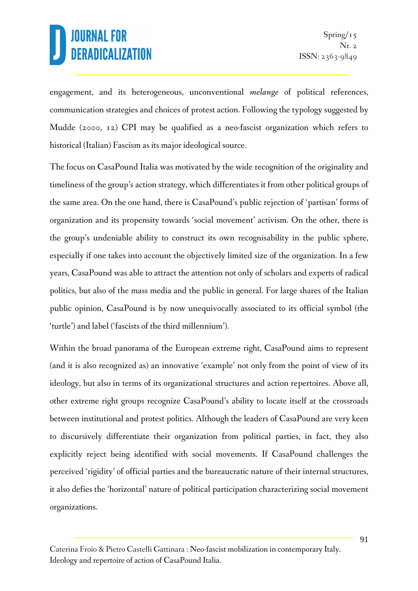engagement, and its heterogeneous, unconventional *melange* of political references, communication strategies and choices of protest action. Following the typology suggested by Mudde (2000, 12) CPI may be qualified as a neo-fascist organization which refers to historical (Italian) Fascism as its major ideological source.

The focus on CasaPound Italia was motivated by the wide recognition of the originality and timeliness of the group's action strategy, which differentiates it from other political groups of the same area. On the one hand, there is CasaPound's public rejection of 'partisan' forms of organization and its propensity towards 'social movement' activism. On the other, there is the group's undeniable ability to construct its own recognisability in the public sphere, especially if one takes into account the objectively limited size of the organization. In a few years, CasaPound was able to attract the attention not only of scholars and experts of radical politics, but also of the mass media and the public in general. For large shares of the Italian public opinion, CasaPound is by now unequivocally associated to its official symbol (the 'turtle') and label ('fascists of the third millennium').

Within the broad panorama of the European extreme right, CasaPound aims to represent (and it is also recognized as) an innovative 'example' not only from the point of view of its ideology, but also in terms of its organizational structures and action repertoires. Above all, other extreme right groups recognize CasaPound's ability to locate itself at the crossroads between institutional and protest politics. Although the leaders of CasaPound are very keen to discursively differentiate their organization from political parties, in fact, they also explicitly reject being identified with social movements. If CasaPound challenges the perceived 'rigidity' of official parties and the bureaucratic nature of their internal structures, it also defies the 'horizontal' nature of political participation characterizing social movement organizations.

Caterina Froio & Pietro Castelli Gattinara : Neo-fascist mobilization in contemporary Italy. Ideology and repertoire of action of CasaPound Italia.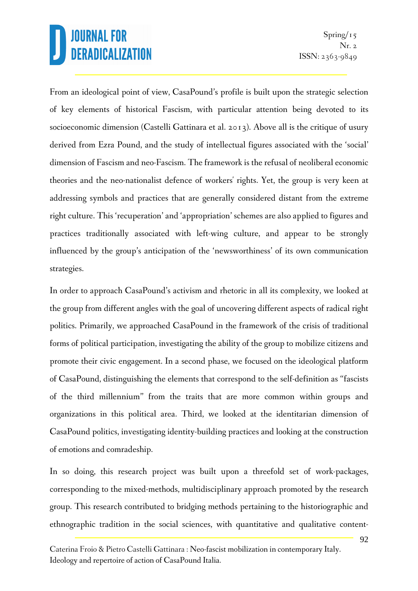From an ideological point of view, CasaPound's profile is built upon the strategic selection of key elements of historical Fascism, with particular attention being devoted to its socioeconomic dimension (Castelli Gattinara et al. 2013). Above all is the critique of usury derived from Ezra Pound, and the study of intellectual figures associated with the 'social' dimension of Fascism and neo-Fascism. The framework is the refusal of neoliberal economic theories and the neo-nationalist defence of workers' rights. Yet, the group is very keen at addressing symbols and practices that are generally considered distant from the extreme right culture. This 'recuperation' and 'appropriation' schemes are also applied to figures and practices traditionally associated with left-wing culture, and appear to be strongly influenced by the group's anticipation of the 'newsworthiness' of its own communication strategies.

In order to approach CasaPound's activism and rhetoric in all its complexity, we looked at the group from different angles with the goal of uncovering different aspects of radical right politics. Primarily, we approached CasaPound in the framework of the crisis of traditional forms of political participation, investigating the ability of the group to mobilize citizens and promote their civic engagement. In a second phase, we focused on the ideological platform of CasaPound, distinguishing the elements that correspond to the self-definition as "fascists of the third millennium" from the traits that are more common within groups and organizations in this political area. Third, we looked at the identitarian dimension of CasaPound politics, investigating identity-building practices and looking at the construction of emotions and comradeship.

In so doing, this research project was built upon a threefold set of work-packages, corresponding to the mixed-methods, multidisciplinary approach promoted by the research group. This research contributed to bridging methods pertaining to the historiographic and ethnographic tradition in the social sciences, with quantitative and qualitative content-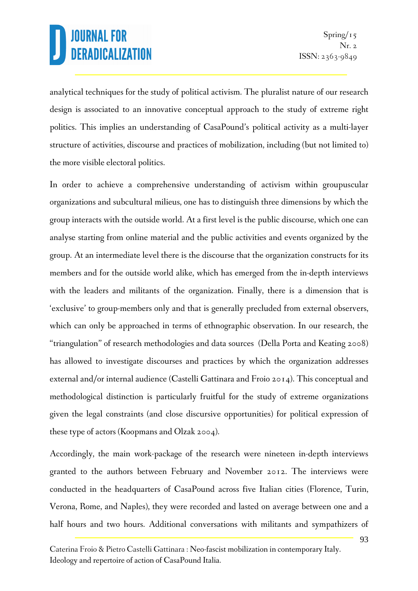analytical techniques for the study of political activism. The pluralist nature of our research design is associated to an innovative conceptual approach to the study of extreme right politics. This implies an understanding of CasaPound's political activity as a multi-layer structure of activities, discourse and practices of mobilization, including (but not limited to) the more visible electoral politics.

In order to achieve a comprehensive understanding of activism within groupuscular organizations and subcultural milieus, one has to distinguish three dimensions by which the group interacts with the outside world. At a first level is the public discourse, which one can analyse starting from online material and the public activities and events organized by the group. At an intermediate level there is the discourse that the organization constructs for its members and for the outside world alike, which has emerged from the in-depth interviews with the leaders and militants of the organization. Finally, there is a dimension that is 'exclusive' to group-members only and that is generally precluded from external observers, which can only be approached in terms of ethnographic observation. In our research, the "triangulation" of research methodologies and data sources (Della Porta and Keating 2008) has allowed to investigate discourses and practices by which the organization addresses external and/or internal audience (Castelli Gattinara and Froio 2014). This conceptual and methodological distinction is particularly fruitful for the study of extreme organizations given the legal constraints (and close discursive opportunities) for political expression of these type of actors (Koopmans and Olzak 2004).

Accordingly, the main work-package of the research were nineteen in-depth interviews granted to the authors between February and November 2012. The interviews were conducted in the headquarters of CasaPound across five Italian cities (Florence, Turin, Verona, Rome, and Naples), they were recorded and lasted on average between one and a half hours and two hours. Additional conversations with militants and sympathizers of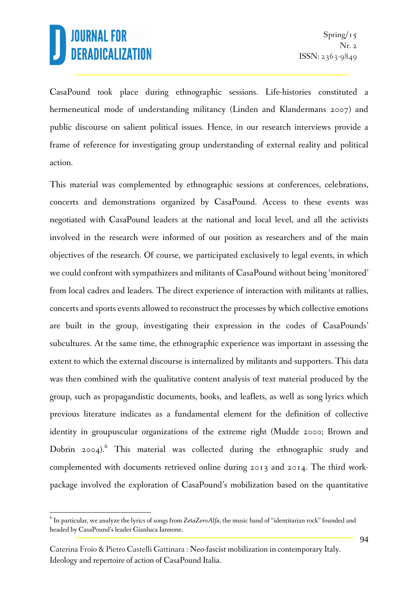$\overline{a}$ 

CasaPound took place during ethnographic sessions. Life-histories constituted a hermeneutical mode of understanding militancy (Linden and Klandermans 2007) and public discourse on salient political issues. Hence, in our research interviews provide a frame of reference for investigating group understanding of external reality and political action.

This material was complemented by ethnographic sessions at conferences, celebrations, concerts and demonstrations organized by CasaPound. Access to these events was negotiated with CasaPound leaders at the national and local level, and all the activists involved in the research were informed of our position as researchers and of the main objectives of the research. Of course, we participated exclusively to legal events, in which we could confront with sympathizers and militants of CasaPound without being 'monitored' from local cadres and leaders. The direct experience of interaction with militants at rallies, concerts and sports events allowed to reconstruct the processes by which collective emotions are built in the group, investigating their expression in the codes of CasaPounds' subcultures. At the same time, the ethnographic experience was important in assessing the extent to which the external discourse is internalized by militants and supporters. This data was then combined with the qualitative content analysis of text material produced by the group, such as propagandistic documents, books, and leaflets, as well as song lyrics which previous literature indicates as a fundamental element for the definition of collective identity in groupuscular organizations of the extreme right (Mudde 2000; Brown and Dobrin 2004). This material was collected during the ethnographic study and complemented with documents retrieved online during 2013 and 2014. The third workpackage involved the exploration of CasaPound's mobilization based on the quantitative

 $^6$  In particular, we analyze the lyrics of songs from Z*etaZeroAlfa*, the music band of "identitarian rock" founded and headed by CasaPound's leader Gianluca Iannone.

Caterina Froio & Pietro Castelli Gattinara : Neo-fascist mobilization in contemporary Italy. Ideology and repertoire of action of CasaPound Italia.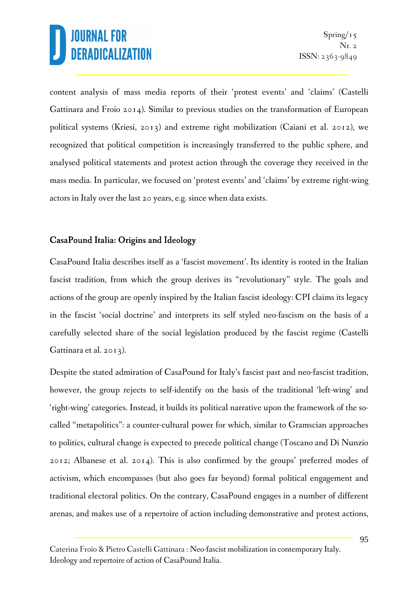content analysis of mass media reports of their 'protest events' and 'claims' (Castelli Gattinara and Froio 2014). Similar to previous studies on the transformation of European political systems (Kriesi, 2013) and extreme right mobilization (Caiani et al. 2012), we recognized that political competition is increasingly transferred to the public sphere, and analysed political statements and protest action through the coverage they received in the mass media. In particular, we focused on 'protest events' and 'claims' by extreme right-wing actors in Italy over the last 20 years, e.g. since when data exists.

### CasaPound Italia: Origins and Ideology

CasaPound Italia describes itself as a 'fascist movement'. Its identity is rooted in the Italian fascist tradition, from which the group derives its "revolutionary" style. The goals and actions of the group are openly inspired by the Italian fascist ideology: CPI claims its legacy in the fascist 'social doctrine' and interprets its self styled neo-fascism on the basis of a carefully selected share of the social legislation produced by the fascist regime (Castelli Gattinara et al. 2013).

Despite the stated admiration of CasaPound for Italy's fascist past and neo-fascist tradition, however, the group rejects to self-identify on the basis of the traditional 'left-wing' and 'right-wing' categories. Instead, it builds its political narrative upon the framework of the socalled "metapolitics": a counter-cultural power for which, similar to Gramscian approaches to politics, cultural change is expected to precede political change (Toscano and Di Nunzio 2012; Albanese et al. 2014). This is also confirmed by the groups' preferred modes of activism, which encompasses (but also goes far beyond) formal political engagement and traditional electoral politics. On the contrary, CasaPound engages in a number of different arenas, and makes use of a repertoire of action including demonstrative and protest actions,

Caterina Froio & Pietro Castelli Gattinara : Neo-fascist mobilization in contemporary Italy. Ideology and repertoire of action of CasaPound Italia.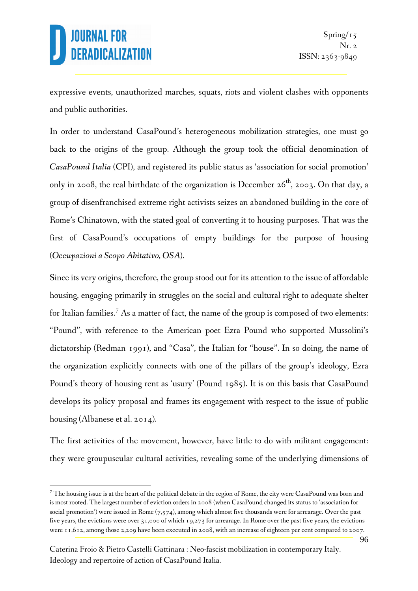expressive events, unauthorized marches, squats, riots and violent clashes with opponents and public authorities.

In order to understand CasaPound's heterogeneous mobilization strategies, one must go back to the origins of the group. Although the group took the official denomination of *CasaPound Italia* (CPI), and registered its public status as 'association for social promotion' only in 2008, the real birthdate of the organization is December  $26^{th}$ , 2003. On that day, a group of disenfranchised extreme right activists seizes an abandoned building in the core of Rome's Chinatown, with the stated goal of converting it to housing purposes. That was the first of CasaPound's occupations of empty buildings for the purpose of housing (*Occupazioni a Scopo Abitativo, OSA*).

Since its very origins, therefore, the group stood out for its attention to the issue of affordable housing, engaging primarily in struggles on the social and cultural right to adequate shelter for Italian families.<sup>7</sup> As a matter of fact, the name of the group is composed of two elements: "Pound", with reference to the American poet Ezra Pound who supported Mussolini's dictatorship (Redman 1991), and "Casa", the Italian for "house". In so doing, the name of the organization explicitly connects with one of the pillars of the group's ideology, Ezra Pound's theory of housing rent as 'usury' (Pound 1985). It is on this basis that CasaPound develops its policy proposal and frames its engagement with respect to the issue of public housing (Albanese et al. 2014).

The first activities of the movement, however, have little to do with militant engagement: they were groupuscular cultural activities, revealing some of the underlying dimensions of

 $\overline{a}$  $^7$  The housing issue is at the heart of the political debate in the region of Rome, the city were CasaPound was born and is most rooted. The largest number of eviction orders in 2008 (when CasaPound changed its status to 'association for social promotion') were issued in Rome  $(7,574)$ , among which almost five thousands were for arrearage. Over the past five years, the evictions were over 31,000 of which 19,273 for arrearage. In Rome over the past five years, the evictions were 11,612, among those 2,209 have been executed in 2008, with an increase of eighteen per cent compared to 2007.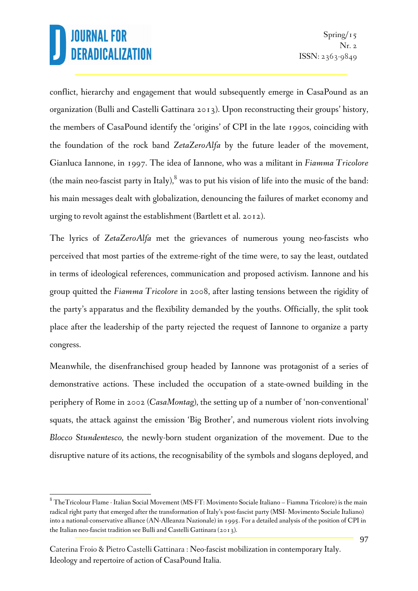conflict, hierarchy and engagement that would subsequently emerge in CasaPound as an organization (Bulli and Castelli Gattinara 2013). Upon reconstructing their groups' history, the members of CasaPound identify the 'origins' of CPI in the late 1990s, coinciding with the foundation of the rock band *ZetaZeroAlfa* by the future leader of the movement, Gianluca Iannone, in 1997. The idea of Iannone, who was a militant in *Fiamma Tricolore*  (the main neo-fascist party in Italy), $^8$  was to put his vision of life into the music of the band: his main messages dealt with globalization, denouncing the failures of market economy and urging to revolt against the establishment (Bartlett et al. 2012).

The lyrics of *ZetaZeroAlfa* met the grievances of numerous young neo-fascists who perceived that most parties of the extreme-right of the time were, to say the least, outdated in terms of ideological references, communication and proposed activism. Iannone and his group quitted the *Fiamma Tricolore* in 2008, after lasting tensions between the rigidity of the party's apparatus and the flexibility demanded by the youths. Officially, the split took place after the leadership of the party rejected the request of Iannone to organize a party congress.

Meanwhile, the disenfranchised group headed by Iannone was protagonist of a series of demonstrative actions. These included the occupation of a state-owned building in the periphery of Rome in 2002 (*CasaMontag*), the setting up of a number of 'non-conventional' squats, the attack against the emission 'Big Brother', and numerous violent riots involving *Blocco Stundentesco*, the newly-born student organization of the movement. Due to the disruptive nature of its actions, the recognisability of the symbols and slogans deployed, and

 $\overline{\phantom{a}}$  $^8$  TheTricolour Flame - Italian Social Movement (MS-FT: Movimento Sociale Italiano – Fiamma Tricolore) is the main radical right party that emerged after the transformation of Italy's post-fascist party (MSI- Movimento Sociale Italiano) into a national-conservative alliance (AN-Alleanza Nazionale) in 1995. For a detailed analysis of the position of CPI in the Italian neo-fascist tradition see Bulli and Castelli Gattinara (2013).

Caterina Froio & Pietro Castelli Gattinara : Neo-fascist mobilization in contemporary Italy. Ideology and repertoire of action of CasaPound Italia.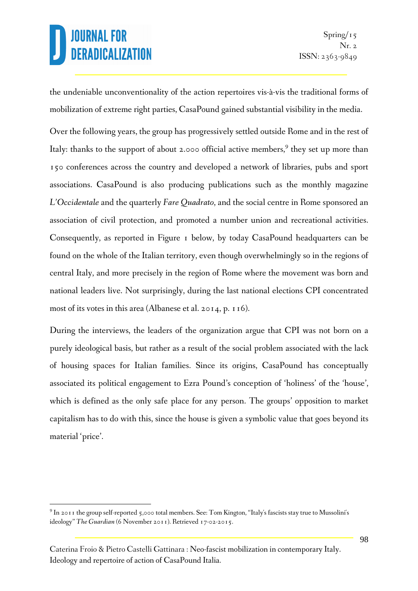$\overline{a}$ 

the undeniable unconventionality of the action repertoires vis-à-vis the traditional forms of mobilization of extreme right parties, CasaPound gained substantial visibility in the media.

Over the following years, the group has progressively settled outside Rome and in the rest of Italy: thanks to the support of about 2.000 official active members,<sup>9</sup> they set up more than 150 conferences across the country and developed a network of libraries, pubs and sport associations. CasaPound is also producing publications such as the monthly magazine *L'Occidentale* and the quarterly *Fare Quadrato*, and the social centre in Rome sponsored an association of civil protection, and promoted a number union and recreational activities. Consequently, as reported in Figure 1 below, by today CasaPound headquarters can be found on the whole of the Italian territory, even though overwhelmingly so in the regions of central Italy, and more precisely in the region of Rome where the movement was born and national leaders live. Not surprisingly, during the last national elections CPI concentrated most of its votes in this area (Albanese et al. 2014, p. 116).

During the interviews, the leaders of the organization argue that CPI was not born on a purely ideological basis, but rather as a result of the social problem associated with the lack of housing spaces for Italian families. Since its origins, CasaPound has conceptually associated its political engagement to Ezra Pound's conception of 'holiness' of the 'house', which is defined as the only safe place for any person. The groups' opposition to market capitalism has to do with this, since the house is given a symbolic value that goes beyond its material 'price'.

 $^9$  In 2011 the group self-reported 5,000 total members. See: Tom Kington, "Italy's fascists stay true to Mussolini's ideology" *The Guardian* (6 November 2011). Retrieved 17-02-2015.

Caterina Froio & Pietro Castelli Gattinara : Neo-fascist mobilization in contemporary Italy. Ideology and repertoire of action of CasaPound Italia.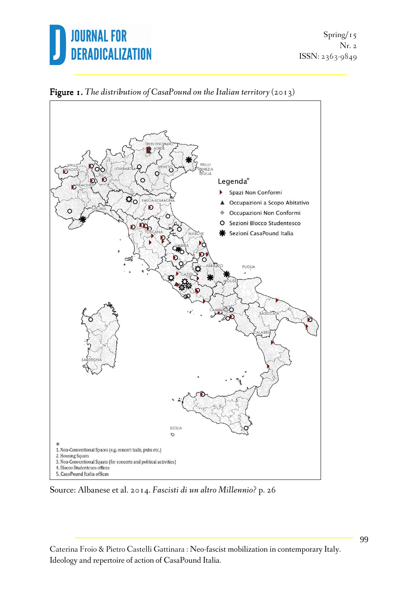



Figure 1. The distribution of CasaPound on the Italian territory (2013)

Source: Albanese et al. 2014. *Fascisti di un altro Millennio?* p. 26

Caterina Froio & Pietro Castelli Gattinara : Neo-fascist mobilization in contemporary Italy. Ideology and repertoire of action of CasaPound Italia.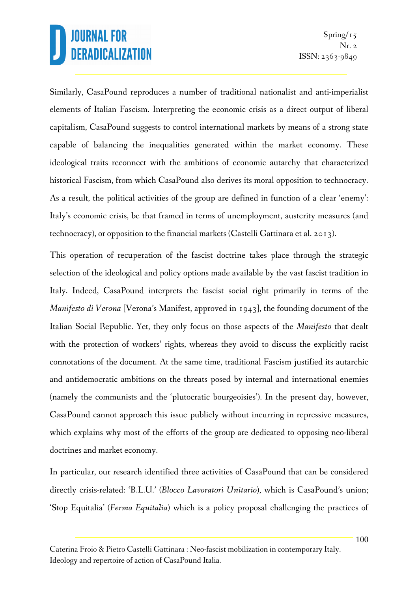Similarly, CasaPound reproduces a number of traditional nationalist and anti-imperialist elements of Italian Fascism. Interpreting the economic crisis as a direct output of liberal capitalism, CasaPound suggests to control international markets by means of a strong state capable of balancing the inequalities generated within the market economy. These ideological traits reconnect with the ambitions of economic autarchy that characterized historical Fascism, from which CasaPound also derives its moral opposition to technocracy. As a result, the political activities of the group are defined in function of a clear 'enemy': Italy's economic crisis, be that framed in terms of unemployment, austerity measures (and technocracy), or opposition to the financial markets (Castelli Gattinara et al. 2013).

This operation of recuperation of the fascist doctrine takes place through the strategic selection of the ideological and policy options made available by the vast fascist tradition in Italy. Indeed, CasaPound interprets the fascist social right primarily in terms of the *Manifesto di Verona* [Verona's Manifest, approved in 1943], the founding document of the Italian Social Republic. Yet, they only focus on those aspects of the *Manifesto* that dealt with the protection of workers' rights, whereas they avoid to discuss the explicitly racist connotations of the document. At the same time, traditional Fascism justified its autarchic and antidemocratic ambitions on the threats posed by internal and international enemies (namely the communists and the 'plutocratic bourgeoisies'). In the present day, however, CasaPound cannot approach this issue publicly without incurring in repressive measures, which explains why most of the efforts of the group are dedicated to opposing neo-liberal doctrines and market economy.

In particular, our research identified three activities of CasaPound that can be considered directly crisis-related: 'B.L.U.' (*Blocco Lavoratori Unitario*), which is CasaPound's union; 'Stop Equitalia' (*Ferma Equitalia*) which is a policy proposal challenging the practices of

Caterina Froio & Pietro Castelli Gattinara : Neo-fascist mobilization in contemporary Italy. Ideology and repertoire of action of CasaPound Italia.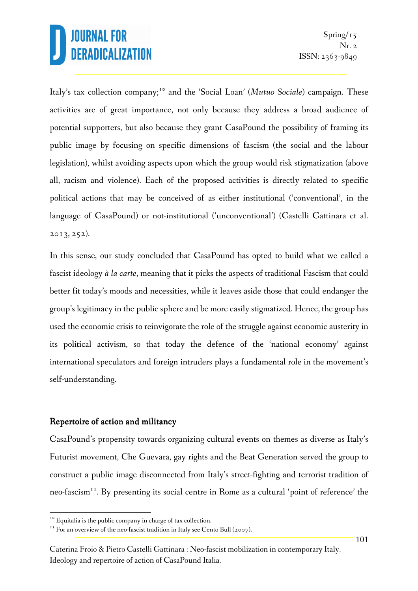Italy's tax collection company;<sup>10</sup> and the 'Social Loan' (*Mutuo Sociale*) campaign. These activities are of great importance, not only because they address a broad audience of potential supporters, but also because they grant CasaPound the possibility of framing its public image by focusing on specific dimensions of fascism (the social and the labour legislation), whilst avoiding aspects upon which the group would risk stigmatization (above all, racism and violence). Each of the proposed activities is directly related to specific political actions that may be conceived of as either institutional ('conventional', in the language of CasaPound) or not-institutional ('unconventional') (Castelli Gattinara et al. 2013, 252).

In this sense, our study concluded that CasaPound has opted to build what we called a fascist ideology *à la carte*, meaning that it picks the aspects of traditional Fascism that could better fit today's moods and necessities, while it leaves aside those that could endanger the group's legitimacy in the public sphere and be more easily stigmatized. Hence, the group has used the economic crisis to reinvigorate the role of the struggle against economic austerity in its political activism, so that today the defence of the 'national economy' against international speculators and foreign intruders plays a fundamental role in the movement's self-understanding.

#### Repertoire of action and militancy

 $\overline{a}$ 

CasaPound's propensity towards organizing cultural events on themes as diverse as Italy's Futurist movement, Che Guevara, gay rights and the Beat Generation served the group to construct a public image disconnected from Italy's street-fighting and terrorist tradition of neo-fascism<sup>11</sup>. By presenting its social centre in Rome as a cultural 'point of reference' the

<sup>&</sup>lt;sup>10</sup> Equitalia is the public company in charge of tax collection.

<sup>&</sup>lt;sup>11</sup> For an overview of the neo-fascist tradition in Italy see Cento Bull (2007).

Caterina Froio & Pietro Castelli Gattinara : Neo-fascist mobilization in contemporary Italy. Ideology and repertoire of action of CasaPound Italia.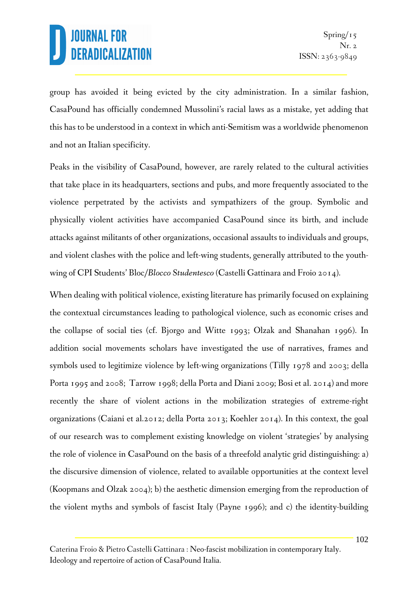group has avoided it being evicted by the city administration. In a similar fashion, CasaPound has officially condemned Mussolini's racial laws as a mistake, yet adding that this has to be understood in a context in which anti-Semitism was a worldwide phenomenon and not an Italian specificity.

Peaks in the visibility of CasaPound, however, are rarely related to the cultural activities that take place in its headquarters, sections and pubs, and more frequently associated to the violence perpetrated by the activists and sympathizers of the group. Symbolic and physically violent activities have accompanied CasaPound since its birth, and include attacks against militants of other organizations, occasional assaults to individuals and groups, and violent clashes with the police and left-wing students, generally attributed to the youthwing of CPI Students' Bloc/*Blocco Studentesco* (Castelli Gattinara and Froio 2014).

When dealing with political violence, existing literature has primarily focused on explaining the contextual circumstances leading to pathological violence, such as economic crises and the collapse of social ties (cf. Bjorgo and Witte 1993; Olzak and Shanahan 1996). In addition social movements scholars have investigated the use of narratives, frames and symbols used to legitimize violence by left-wing organizations (Tilly 1978 and 2003; della Porta 1995 and 2008; Tarrow 1998; della Porta and Diani 2009; Bosi et al. 2014) and more recently the share of violent actions in the mobilization strategies of extreme-right organizations (Caiani et al.2012; della Porta 2013; Koehler 2014). In this context, the goal of our research was to complement existing knowledge on violent 'strategies' by analysing the role of violence in CasaPound on the basis of a threefold analytic grid distinguishing: a) the discursive dimension of violence, related to available opportunities at the context level (Koopmans and Olzak 2004); b) the aesthetic dimension emerging from the reproduction of the violent myths and symbols of fascist Italy (Payne 1996); and c) the identity-building

Caterina Froio & Pietro Castelli Gattinara : Neo-fascist mobilization in contemporary Italy. Ideology and repertoire of action of CasaPound Italia.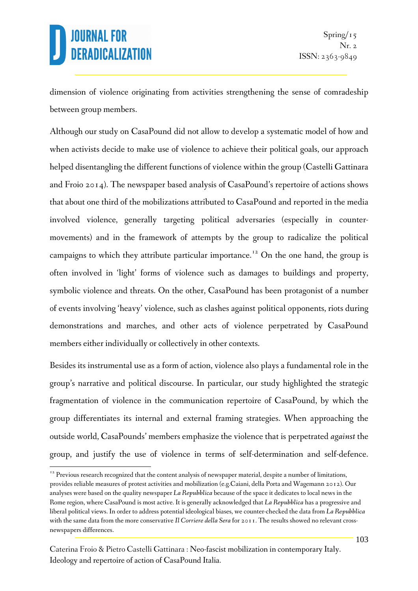$\overline{a}$ 

dimension of violence originating from activities strengthening the sense of comradeship between group members.

Although our study on CasaPound did not allow to develop a systematic model of how and when activists decide to make use of violence to achieve their political goals, our approach helped disentangling the different functions of violence within the group (Castelli Gattinara and Froio 2014). The newspaper based analysis of CasaPound's repertoire of actions shows that about one third of the mobilizations attributed to CasaPound and reported in the media involved violence, generally targeting political adversaries (especially in countermovements) and in the framework of attempts by the group to radicalize the political campaigns to which they attribute particular importance. <sup>12</sup> On the one hand, the group is often involved in 'light' forms of violence such as damages to buildings and property, symbolic violence and threats. On the other, CasaPound has been protagonist of a number of events involving 'heavy' violence, such as clashes against political opponents, riots during demonstrations and marches, and other acts of violence perpetrated by CasaPound members either individually or collectively in other contexts.

Besides its instrumental use as a form of action, violence also plays a fundamental role in the group's narrative and political discourse. In particular, our study highlighted the strategic fragmentation of violence in the communication repertoire of CasaPound, by which the group differentiates its internal and external framing strategies. When approaching the outside world, CasaPounds' members emphasize the violence that is perpetrated *against* the group, and justify the use of violence in terms of self-determination and self-defence.

 $12$  Previous research recognized that the content analysis of newspaper material, despite a number of limitations, provides reliable measures of protest activities and mobilization (e.g.Caiani, della Porta and Wagemann 2012). Our analyses were based on the quality newspaper *La Repubblica* because of the space it dedicates to local news in the Rome region, where CasaPound is most active. It is generally acknowledged that *La Repubblica* has a progressive and liberal political views. In order to address potential ideological biases, we counter-checked the data from *La Repubblica* with the same data from the more conservative *Il Corriere della Sera* for 2011. The results showed no relevant crossnewspapers differences.

Caterina Froio & Pietro Castelli Gattinara : Neo-fascist mobilization in contemporary Italy. Ideology and repertoire of action of CasaPound Italia.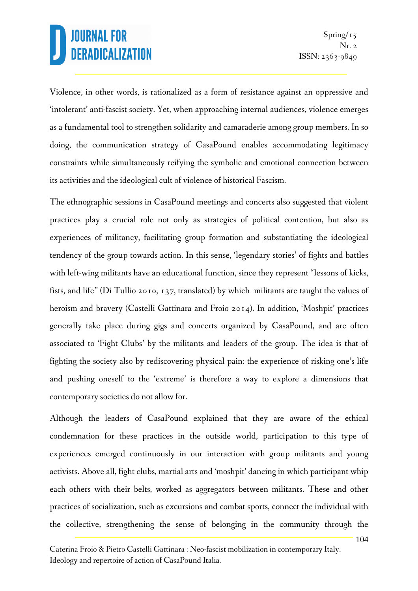Violence, in other words, is rationalized as a form of resistance against an oppressive and 'intolerant' anti-fascist society. Yet, when approaching internal audiences, violence emerges as a fundamental tool to strengthen solidarity and camaraderie among group members. In so doing, the communication strategy of CasaPound enables accommodating legitimacy constraints while simultaneously reifying the symbolic and emotional connection between its activities and the ideological cult of violence of historical Fascism.

The ethnographic sessions in CasaPound meetings and concerts also suggested that violent practices play a crucial role not only as strategies of political contention, but also as experiences of militancy, facilitating group formation and substantiating the ideological tendency of the group towards action. In this sense, 'legendary stories' of fights and battles with left-wing militants have an educational function, since they represent "lessons of kicks, fists, and life" (Di Tullio 2010, 137, translated) by which militants are taught the values of heroism and bravery (Castelli Gattinara and Froio 2014). In addition, 'Moshpit' practices generally take place during gigs and concerts organized by CasaPound, and are often associated to 'Fight Clubs' by the militants and leaders of the group. The idea is that of fighting the society also by rediscovering physical pain: the experience of risking one's life and pushing oneself to the 'extreme' is therefore a way to explore a dimensions that contemporary societies do not allow for.

Although the leaders of CasaPound explained that they are aware of the ethical condemnation for these practices in the outside world, participation to this type of experiences emerged continuously in our interaction with group militants and young activists. Above all, fight clubs, martial arts and 'moshpit' dancing in which participant whip each others with their belts, worked as aggregators between militants. These and other practices of socialization, such as excursions and combat sports, connect the individual with the collective, strengthening the sense of belonging in the community through the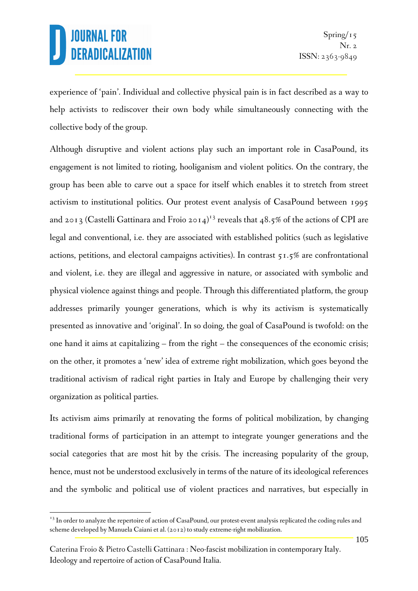$\overline{a}$ 

experience of 'pain'. Individual and collective physical pain is in fact described as a way to help activists to rediscover their own body while simultaneously connecting with the collective body of the group.

Although disruptive and violent actions play such an important role in CasaPound, its engagement is not limited to rioting, hooliganism and violent politics. On the contrary, the group has been able to carve out a space for itself which enables it to stretch from street activism to institutional politics. Our protest event analysis of CasaPound between 1995 and 2013 (Castelli Gattinara and Froio 2014)<sup>13</sup> reveals that 48.5% of the actions of CPI are legal and conventional, i.e. they are associated with established politics (such as legislative actions, petitions, and electoral campaigns activities). In contrast 51.5% are confrontational and violent, i.e. they are illegal and aggressive in nature, or associated with symbolic and physical violence against things and people. Through this differentiated platform, the group addresses primarily younger generations, which is why its activism is systematically presented as innovative and 'original'. In so doing, the goal of CasaPound is twofold: on the one hand it aims at capitalizing – from the right – the consequences of the economic crisis; on the other, it promotes a 'new' idea of extreme right mobilization, which goes beyond the traditional activism of radical right parties in Italy and Europe by challenging their very organization as political parties.

Its activism aims primarily at renovating the forms of political mobilization, by changing traditional forms of participation in an attempt to integrate younger generations and the social categories that are most hit by the crisis. The increasing popularity of the group, hence, must not be understood exclusively in terms of the nature of its ideological references and the symbolic and political use of violent practices and narratives, but especially in

<sup>&</sup>lt;sup>13</sup> In order to analyze the repertoire of action of CasaPound, our protest-event analysis replicated the coding rules and scheme developed by Manuela Caiani et al. (2012) to study extreme-right mobilization.

Caterina Froio & Pietro Castelli Gattinara : Neo-fascist mobilization in contemporary Italy. Ideology and repertoire of action of CasaPound Italia.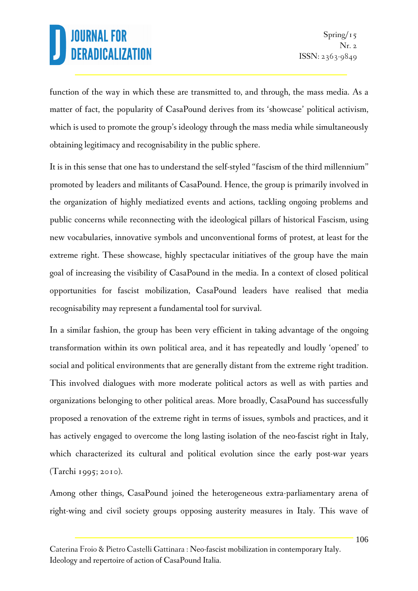function of the way in which these are transmitted to, and through, the mass media. As a matter of fact, the popularity of CasaPound derives from its 'showcase' political activism, which is used to promote the group's ideology through the mass media while simultaneously obtaining legitimacy and recognisability in the public sphere.

It is in this sense that one has to understand the self-styled "fascism of the third millennium" promoted by leaders and militants of CasaPound. Hence, the group is primarily involved in the organization of highly mediatized events and actions, tackling ongoing problems and public concerns while reconnecting with the ideological pillars of historical Fascism, using new vocabularies, innovative symbols and unconventional forms of protest, at least for the extreme right. These showcase, highly spectacular initiatives of the group have the main goal of increasing the visibility of CasaPound in the media. In a context of closed political opportunities for fascist mobilization, CasaPound leaders have realised that media recognisability may represent a fundamental tool for survival.

In a similar fashion, the group has been very efficient in taking advantage of the ongoing transformation within its own political area, and it has repeatedly and loudly 'opened' to social and political environments that are generally distant from the extreme right tradition. This involved dialogues with more moderate political actors as well as with parties and organizations belonging to other political areas. More broadly, CasaPound has successfully proposed a renovation of the extreme right in terms of issues, symbols and practices, and it has actively engaged to overcome the long lasting isolation of the neo-fascist right in Italy, which characterized its cultural and political evolution since the early post-war years (Tarchi 1995; 2010).

Among other things, CasaPound joined the heterogeneous extra-parliamentary arena of right-wing and civil society groups opposing austerity measures in Italy. This wave of

Caterina Froio & Pietro Castelli Gattinara : Neo-fascist mobilization in contemporary Italy. Ideology and repertoire of action of CasaPound Italia.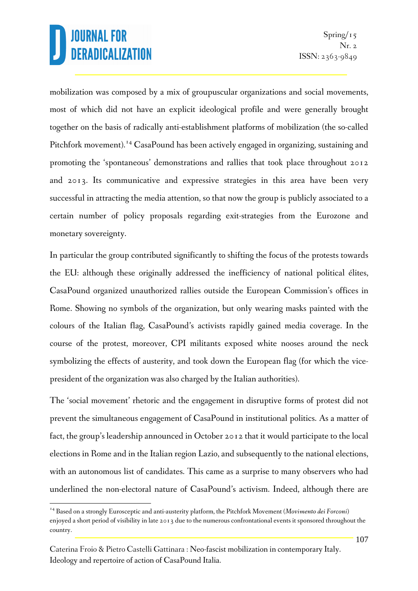l

mobilization was composed by a mix of groupuscular organizations and social movements, most of which did not have an explicit ideological profile and were generally brought together on the basis of radically anti-establishment platforms of mobilization (the so-called Pitchfork movement).<sup>14</sup> CasaPound has been actively engaged in organizing, sustaining and promoting the 'spontaneous' demonstrations and rallies that took place throughout 2012 and 2013. Its communicative and expressive strategies in this area have been very successful in attracting the media attention, so that now the group is publicly associated to a certain number of policy proposals regarding exit-strategies from the Eurozone and monetary sovereignty.

In particular the group contributed significantly to shifting the focus of the protests towards the EU: although these originally addressed the inefficiency of national political élites, CasaPound organized unauthorized rallies outside the European Commission's offices in Rome. Showing no symbols of the organization, but only wearing masks painted with the colours of the Italian flag, CasaPound's activists rapidly gained media coverage. In the course of the protest, moreover, CPI militants exposed white nooses around the neck symbolizing the effects of austerity, and took down the European flag (for which the vicepresident of the organization was also charged by the Italian authorities).

The 'social movement' rhetoric and the engagement in disruptive forms of protest did not prevent the simultaneous engagement of CasaPound in institutional politics. As a matter of fact, the group's leadership announced in October 2012 that it would participate to the local elections in Rome and in the Italian region Lazio, and subsequently to the national elections, with an autonomous list of candidates. This came as a surprise to many observers who had underlined the non-electoral nature of CasaPound's activism. Indeed, although there are

<sup>14</sup> Based on a strongly Eurosceptic and anti-austerity platform, the Pitchfork Movement (*Movimento dei Forconi*) enjoyed a short period of visibility in late 2013 due to the numerous confrontational events it sponsored throughout the country.

Caterina Froio & Pietro Castelli Gattinara : Neo-fascist mobilization in contemporary Italy. Ideology and repertoire of action of CasaPound Italia.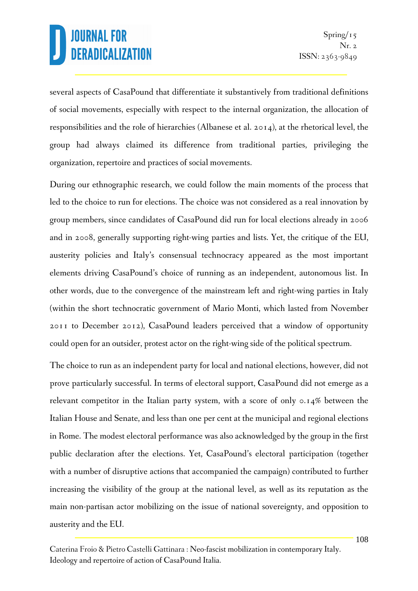several aspects of CasaPound that differentiate it substantively from traditional definitions of social movements, especially with respect to the internal organization, the allocation of responsibilities and the role of hierarchies (Albanese et al. 2014), at the rhetorical level, the group had always claimed its difference from traditional parties, privileging the organization, repertoire and practices of social movements.

During our ethnographic research, we could follow the main moments of the process that led to the choice to run for elections. The choice was not considered as a real innovation by group members, since candidates of CasaPound did run for local elections already in 2006 and in 2008, generally supporting right-wing parties and lists. Yet, the critique of the EU, austerity policies and Italy's consensual technocracy appeared as the most important elements driving CasaPound's choice of running as an independent, autonomous list. In other words, due to the convergence of the mainstream left and right-wing parties in Italy (within the short technocratic government of Mario Monti, which lasted from November 2011 to December 2012), CasaPound leaders perceived that a window of opportunity could open for an outsider, protest actor on the right-wing side of the political spectrum.

The choice to run as an independent party for local and national elections, however, did not prove particularly successful. In terms of electoral support, CasaPound did not emerge as a relevant competitor in the Italian party system, with a score of only 0.14% between the Italian House and Senate, and less than one per cent at the municipal and regional elections in Rome. The modest electoral performance was also acknowledged by the group in the first public declaration after the elections. Yet, CasaPound's electoral participation (together with a number of disruptive actions that accompanied the campaign) contributed to further increasing the visibility of the group at the national level, as well as its reputation as the main non-partisan actor mobilizing on the issue of national sovereignty, and opposition to austerity and the EU.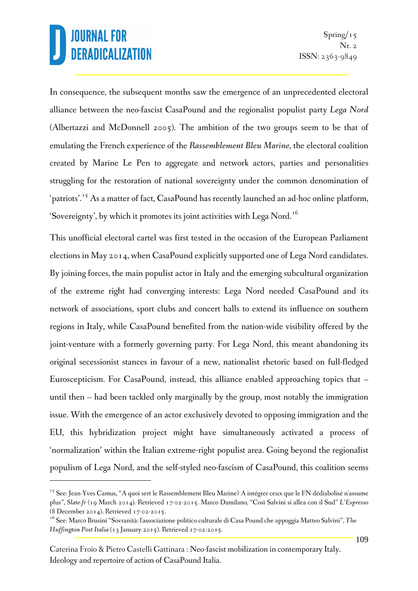$\overline{a}$ 

In consequence, the subsequent months saw the emergence of an unprecedented electoral alliance between the neo-fascist CasaPound and the regionalist populist party *Lega Nord* (Albertazzi and McDonnell 2005). The ambition of the two groups seem to be that of emulating the French experience of the *Rassemblement Bleu Marine,* the electoral coalition created by Marine Le Pen to aggregate and network actors, parties and personalities struggling for the restoration of national sovereignty under the common denomination of 'patriots'.<sup>15</sup> As a matter of fact, CasaPound has recently launched an ad-hoc online platform, 'Sovereignty', by which it promotes its joint activities with Lega Nord.<sup>16</sup>

This unofficial electoral cartel was first tested in the occasion of the European Parliament elections in May 2014, when CasaPound explicitly supported one of Lega Nord candidates. By joining forces, the main populist actor in Italy and the emerging subcultural organization of the extreme right had converging interests: Lega Nord needed CasaPound and its network of associations, sport clubs and concert halls to extend its influence on southern regions in Italy, while CasaPound benefited from the nation-wide visibility offered by the joint-venture with a formerly governing party. For Lega Nord, this meant abandoning its original secessionist stances in favour of a new, nationalist rhetoric based on full-fledged Euroscepticism. For CasaPound, instead, this alliance enabled approaching topics that – until then – had been tackled only marginally by the group, most notably the immigration issue. With the emergence of an actor exclusively devoted to opposing immigration and the EU, this hybridization project might have simultaneously activated a process of 'normalization' within the Italian extreme-right populist area. Going beyond the regionalist populism of Lega Nord, and the self-styled neo-fascism of CasaPound, this coalition seems

<sup>&</sup>lt;sup>15</sup> See: Jean-Yves Camus, "A quoi sert le Rassemblement Bleu Marine? A intégrer ceux que le FN dédiabolisé n'assume plus", *Slate.fr* (19 March 2014). Retrieved 17-02-2015. Marco Damilano, "Così Salvini si allea con il Sud" *L'Espresso*  (8 December 2014). Retrieved 17-02-2015.

<sup>16</sup> See: Marco Brusini "Sovranità: l'associazione politico culturale di Casa Pound che appoggia Matteo Salvini", *The Huffington Post Italia* (13 January 2015). Retrieved 17-02-2015.

Caterina Froio & Pietro Castelli Gattinara : Neo-fascist mobilization in contemporary Italy. Ideology and repertoire of action of CasaPound Italia.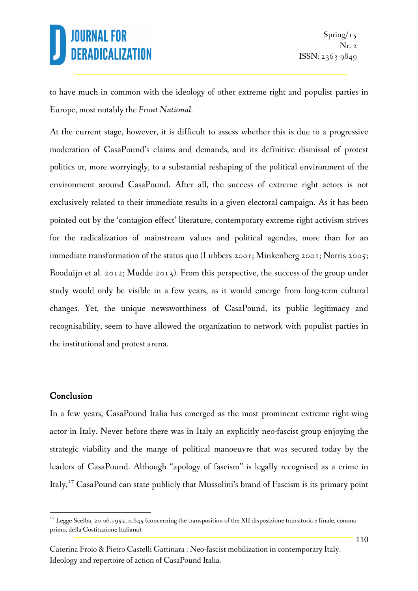to have much in common with the ideology of other extreme right and populist parties in Europe, most notably the *Front National.* 

At the current stage, however, it is difficult to assess whether this is due to a progressive moderation of CasaPound's claims and demands, and its definitive dismissal of protest politics or, more worryingly, to a substantial reshaping of the political environment of the environment around CasaPound. After all, the success of extreme right actors is not exclusively related to their immediate results in a given electoral campaign. As it has been pointed out by the 'contagion effect' literature, contemporary extreme right activism strives for the radicalization of mainstream values and political agendas, more than for an immediate transformation of the status quo (Lubbers 2001; Minkenberg 2001; Norris 2005; Rooduijn et al. 2012; Mudde 2013). From this perspective, the success of the group under study would only be visible in a few years, as it would emerge from long-term cultural changes. Yet, the unique newsworthiness of CasaPound, its public legitimacy and recognisability, seem to have allowed the organization to network with populist parties in the institutional and protest arena.

#### Conclusion

 $\overline{a}$ 

In a few years, CasaPound Italia has emerged as the most prominent extreme right-wing actor in Italy. Never before there was in Italy an explicitly neo-fascist group enjoying the strategic viability and the marge of political manoeuvre that was secured today by the leaders of CasaPound. Although "apology of fascism" is legally recognised as a crime in Italy,<sup>17</sup> CasaPound can state publicly that Mussolini's brand of Fascism is its primary point

<sup>&</sup>lt;sup>17</sup> Legge Scelba, 20.06.1952, n.645 (concerning the transposition of the XII disposizione transitoria e finale, comma primo, della Costituzione Italiana).

Caterina Froio & Pietro Castelli Gattinara : Neo-fascist mobilization in contemporary Italy. Ideology and repertoire of action of CasaPound Italia.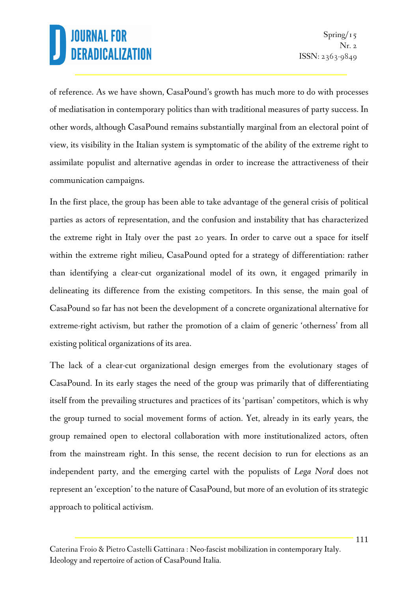of reference. As we have shown, CasaPound's growth has much more to do with processes of mediatisation in contemporary politics than with traditional measures of party success. In other words, although CasaPound remains substantially marginal from an electoral point of view, its visibility in the Italian system is symptomatic of the ability of the extreme right to assimilate populist and alternative agendas in order to increase the attractiveness of their communication campaigns.

In the first place, the group has been able to take advantage of the general crisis of political parties as actors of representation, and the confusion and instability that has characterized the extreme right in Italy over the past 20 years. In order to carve out a space for itself within the extreme right milieu, CasaPound opted for a strategy of differentiation: rather than identifying a clear-cut organizational model of its own, it engaged primarily in delineating its difference from the existing competitors. In this sense, the main goal of CasaPound so far has not been the development of a concrete organizational alternative for extreme-right activism, but rather the promotion of a claim of generic 'otherness' from all existing political organizations of its area.

The lack of a clear-cut organizational design emerges from the evolutionary stages of CasaPound. In its early stages the need of the group was primarily that of differentiating itself from the prevailing structures and practices of its 'partisan' competitors, which is why the group turned to social movement forms of action. Yet, already in its early years, the group remained open to electoral collaboration with more institutionalized actors, often from the mainstream right. In this sense, the recent decision to run for elections as an independent party, and the emerging cartel with the populists of *Lega Nord* does not represent an 'exception' to the nature of CasaPound, but more of an evolution of its strategic approach to political activism.

Caterina Froio & Pietro Castelli Gattinara : Neo-fascist mobilization in contemporary Italy. Ideology and repertoire of action of CasaPound Italia.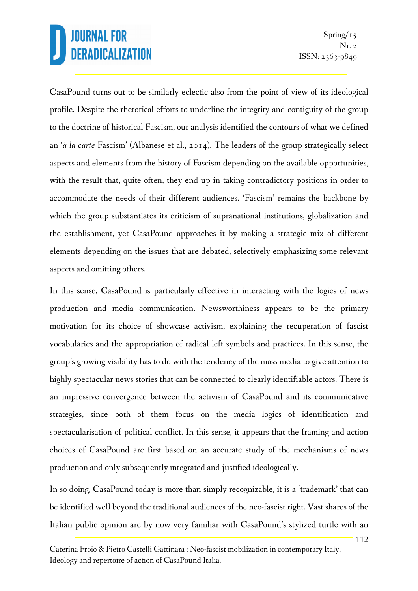CasaPound turns out to be similarly eclectic also from the point of view of its ideological profile. Despite the rhetorical efforts to underline the integrity and contiguity of the group to the doctrine of historical Fascism, our analysis identified the contours of what we defined an '*à la carte* Fascism' (Albanese et al., 2014). The leaders of the group strategically select aspects and elements from the history of Fascism depending on the available opportunities, with the result that, quite often, they end up in taking contradictory positions in order to accommodate the needs of their different audiences. 'Fascism' remains the backbone by which the group substantiates its criticism of supranational institutions, globalization and the establishment, yet CasaPound approaches it by making a strategic mix of different elements depending on the issues that are debated, selectively emphasizing some relevant aspects and omitting others.

In this sense, CasaPound is particularly effective in interacting with the logics of news production and media communication. Newsworthiness appears to be the primary motivation for its choice of showcase activism, explaining the recuperation of fascist vocabularies and the appropriation of radical left symbols and practices. In this sense, the group's growing visibility has to do with the tendency of the mass media to give attention to highly spectacular news stories that can be connected to clearly identifiable actors. There is an impressive convergence between the activism of CasaPound and its communicative strategies, since both of them focus on the media logics of identification and spectacularisation of political conflict. In this sense, it appears that the framing and action choices of CasaPound are first based on an accurate study of the mechanisms of news production and only subsequently integrated and justified ideologically.

In so doing, CasaPound today is more than simply recognizable, it is a 'trademark' that can be identified well beyond the traditional audiences of the neo-fascist right. Vast shares of the Italian public opinion are by now very familiar with CasaPound's stylized turtle with an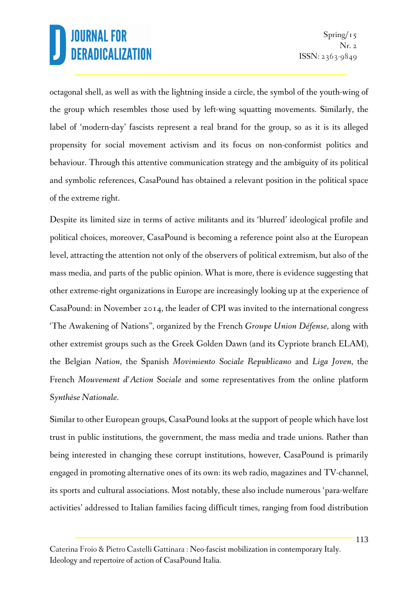octagonal shell, as well as with the lightning inside a circle, the symbol of the youth-wing of the group which resembles those used by left-wing squatting movements. Similarly, the label of 'modern-day' fascists represent a real brand for the group, so as it is its alleged propensity for social movement activism and its focus on non-conformist politics and behaviour. Through this attentive communication strategy and the ambiguity of its political and symbolic references, CasaPound has obtained a relevant position in the political space of the extreme right.

Despite its limited size in terms of active militants and its 'blurred' ideological profile and political choices, moreover, CasaPound is becoming a reference point also at the European level, attracting the attention not only of the observers of political extremism, but also of the mass media, and parts of the public opinion. What is more, there is evidence suggesting that other extreme-right organizations in Europe are increasingly looking up at the experience of CasaPound: in November 2014, the leader of CPI was invited to the international congress 'The Awakening of Nations", organized by the French *Groupe Union Défense,* along with other extremist groups such as the Greek Golden Dawn (and its Cypriote branch ELAM), the Belgian *Nation*, the Spanish *Movimiento Sociale Republicano* and *Liga Joven*, the French *Mouvement d'Action Sociale* and some representatives from the online platform *Synthèse Nationale*.

Similar to other European groups, CasaPound looks at the support of people which have lost trust in public institutions, the government, the mass media and trade unions. Rather than being interested in changing these corrupt institutions, however, CasaPound is primarily engaged in promoting alternative ones of its own: its web radio, magazines and TV-channel, its sports and cultural associations. Most notably, these also include numerous 'para-welfare activities' addressed to Italian families facing difficult times, ranging from food distribution

Caterina Froio & Pietro Castelli Gattinara : Neo-fascist mobilization in contemporary Italy. Ideology and repertoire of action of CasaPound Italia.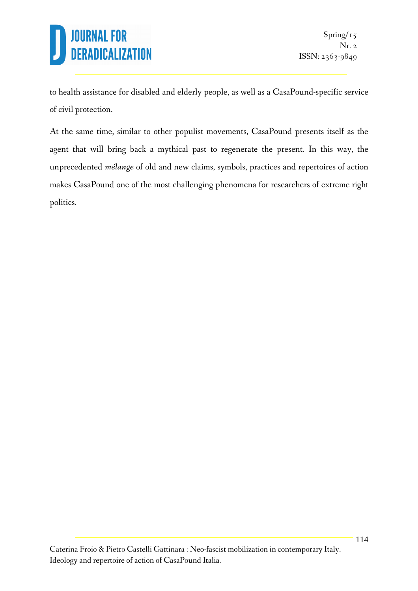to health assistance for disabled and elderly people, as well as a CasaPound-specific service of civil protection.

At the same time, similar to other populist movements, CasaPound presents itself as the agent that will bring back a mythical past to regenerate the present. In this way, the unprecedented *mélange* of old and new claims, symbols, practices and repertoires of action makes CasaPound one of the most challenging phenomena for researchers of extreme right politics.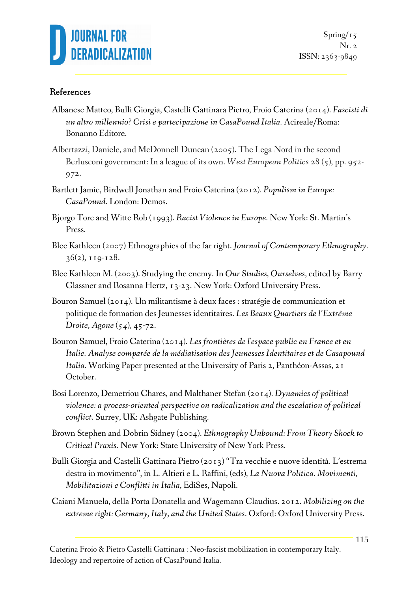

#### References

- Albanese Matteo, Bulli Giorgia, Castelli Gattinara Pietro, Froio Caterina (2014). *Fascisti di un altro millennio? Crisi e partecipazione in CasaPound Italia.* Acireale/Roma: Bonanno Editore.
- Albertazzi, Daniele, and McDonnell Duncan (2005). The Lega Nord in the second Berlusconi government: In a league of its own. *West European Politics* 28 (5), pp. 952- 972.
- Bartlett Jamie, Birdwell Jonathan and Froio Caterina (2012)*. Populism in Europe: CasaPound*. London: Demos.
- Bjorgo Tore and Witte Rob (1993). *Racist Violence in Europe*. New York: St. Martin's Press.
- Blee Kathleen (2007) Ethnographies of the far right. *Journal of Contemporary Ethnography*.  $36(2)$ ,  $119-128$ .
- Blee Kathleen M. (2003). Studying the enemy. In *Our Studies, Ourselves*, edited by Barry Glassner and Rosanna Hertz, 13-23. New York: Oxford University Press.
- Bouron Samuel (2014). Un militantisme à deux faces : stratégie de communication et politique de formation des Jeunesses identitaires. *Les Beaux Quartiers de l'Extrême Droite, Agone (54),* 45-72.
- Bouron Samuel, Froio Caterina (2014). *Les frontières de l'espace public en France et en Italie. Analyse comparée de la médiatisation des Jeunesses Identitaires et de Casapound Italia.* Working Paper presented at the University of Paris 2, Panthéon-Assas, 21 October.
- Bosi Lorenzo, Demetriou Chares, and Malthaner Stefan (2014). *Dynamics of political violence: a process-oriented perspective on radicalization and the escalation of political conflict*. Surrey, UK: Ashgate Publishing.
- Brown Stephen and Dobrin Sidney (2004). *Ethnography Unbound: From Theory Shock to Critical Praxis*. New York: State University of New York Press.
- Bulli Giorgia and Castelli Gattinara Pietro (2013) "Tra vecchie e nuove identità. L'estrema destra in movimento", in L. Altieri e L. Raffini, (eds), *La Nuova Politica. Movimenti, Mobilitazioni e Conflitti in Italia*, EdiSes, Napoli.
- Caiani Manuela, della Porta Donatella and Wagemann Claudius. 2012. *Mobilizing on the extreme right: Germany, Italy, and the United States*. Oxford: Oxford University Press.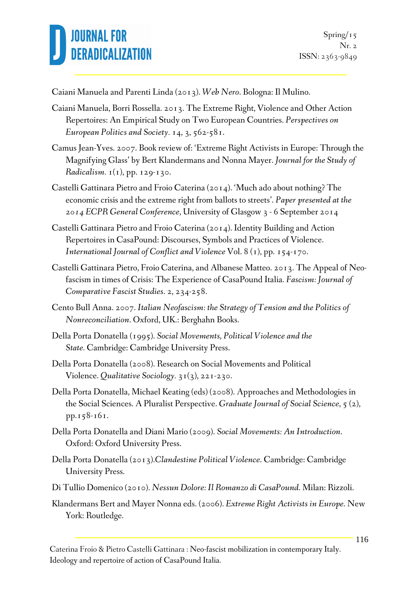

Caiani Manuela and Parenti Linda (2013). *Web Nero*. Bologna: Il Mulino.

- Caiani Manuela, Borri Rossella. 2013. The Extreme Right, Violence and Other Action Repertoires: An Empirical Study on Two European Countries. *Perspectives on European Politics and Society.* 14, 3, 562-581.
- Camus Jean-Yves. 2007. Book review of: 'Extreme Right Activists in Europe: Through the Magnifying Glass' by Bert Klandermans and Nonna Mayer. *Journal for the Study of Radicalism.* 1(1), pp. 129-130.
- Castelli Gattinara Pietro and Froio Caterina (2014). 'Much ado about nothing? The economic crisis and the extreme right from ballots to streets'. *Paper presented at the 2014 ECPR General Conference*, University of Glasgow 3 - 6 September 2014
- Castelli Gattinara Pietro and Froio Caterina (2014). Identity Building and Action Repertoires in CasaPound: Discourses, Symbols and Practices of Violence. *International Journal of Conflict and Violence* Vol. 8 (1), pp. 154-170.
- Castelli Gattinara Pietro, Froio Caterina, and Albanese Matteo. 2013. The Appeal of Neofascism in times of Crisis: The Experience of CasaPound Italia. *Fascism: Journal of Comparative Fascist Studies*. 2, 234-258.
- Cento Bull Anna. 2007. *Italian Neofascism: the Strategy of Tension and the Politics of Nonreconciliation*. Oxford, UK.: Berghahn Books.
- Della Porta Donatella (1995). *Social Movements, Political Violence and the State.* Cambridge: Cambridge University Press.
- Della Porta Donatella (2008). Research on Social Movements and Political Violence. *Qualitative Sociology.* 31(3), 221-230.
- Della Porta Donatella, Michael Keating (eds) (2008). Approaches and Methodologies in the Social Sciences. A Pluralist Perspective. *Graduate Journal of Social Science*, 5 (2), pp.158-161.
- Della Porta Donatella and Diani Mario (2009). *Social Movements: An Introduction*. Oxford: Oxford University Press.
- Della Porta Donatella (2013).*Clandestine Political Violence*. Cambridge: Cambridge University Press.
- Di Tullio Domenico (2010). *Nessun Dolore: Il Romanzo di CasaPound*. Milan: Rizzoli.
- Klandermans Bert and Mayer Nonna eds. (2006). *Extreme Right Activists in Europe*. New York: Routledge.

Caterina Froio & Pietro Castelli Gattinara : Neo-fascist mobilization in contemporary Italy. Ideology and repertoire of action of CasaPound Italia.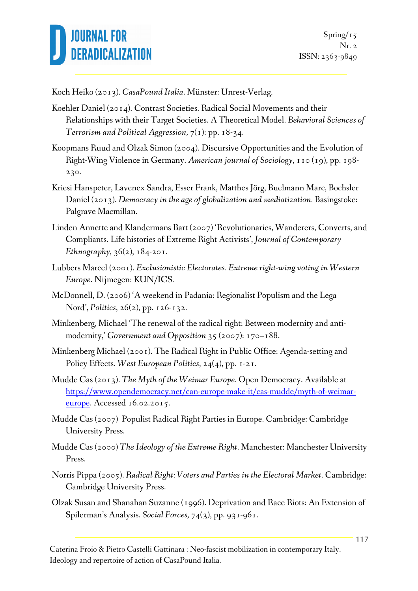

Koch Heiko (2013). *CasaPound Italia*. Münster: Unrest-Verlag.

- Koehler Daniel (2014). Contrast Societies. Radical Social Movements and their Relationships with their Target Societies. A Theoretical Model. *Behavioral Sciences of Terrorism and Political Aggression,* 7(1): pp. 18-34.
- Koopmans Ruud and Olzak Simon (2004). Discursive Opportunities and the Evolution of Right-Wing Violence in Germany. *American journal of Sociology*, 110 (19), pp. 198- 230.
- Kriesi Hanspeter, Lavenex Sandra, Esser Frank, Matthes Jörg, Buelmann Marc, Bochsler Daniel (2013). *Democracy in the age of globalization and mediatization*. Basingstoke: Palgrave Macmillan.
- Linden Annette and Klandermans Bart (2007) 'Revolutionaries, Wanderers, Converts, and Compliants. Life histories of Extreme Right Activists', *Journal of Contemporary Ethnography,* 36(2), 184-201.
- Lubbers Marcel (2001). *Exclusionistic Electorates. Extreme right-wing voting in Western Europe*. Nijmegen: KUN/ICS.
- McDonnell, D. (2006) 'A weekend in Padania: Regionalist Populism and the Lega Nord', *Politics*, 26(2), pp. 126-132.
- Minkenberg, Michael 'The renewal of the radical right: Between modernity and antimodernity,' *Government and Opposition* 35 (2007): 170–188.
- Minkenberg Michael (2001). The Radical Right in Public Office: Agenda-setting and Policy Effects. *West European Politics*, 24(4), pp. 1-21.
- Mudde Cas (2013). *The Myth of the Weimar Europe*. Open Democracy. Available at https://www.opendemocracy.net/can-europe-make-it/cas-mudde/myth-of-weimareurope. Accessed 16.02.2015.
- Mudde Cas (2007) Populist Radical Right Parties in Europe. Cambridge: Cambridge University Press.
- Mudde Cas (2000) *The Ideology of the Extreme Right*. Manchester: Manchester University Press.
- Norris Pippa (2005). *Radical Right: Voters and Parties in the Electoral Market*. Cambridge: Cambridge University Press.
- Olzak Susan and Shanahan Suzanne (1996). Deprivation and Race Riots: An Extension of Spilerman's Analysis. *Social Forces,* 74(3), pp. 931-961.

Caterina Froio & Pietro Castelli Gattinara : Neo-fascist mobilization in contemporary Italy. Ideology and repertoire of action of CasaPound Italia.